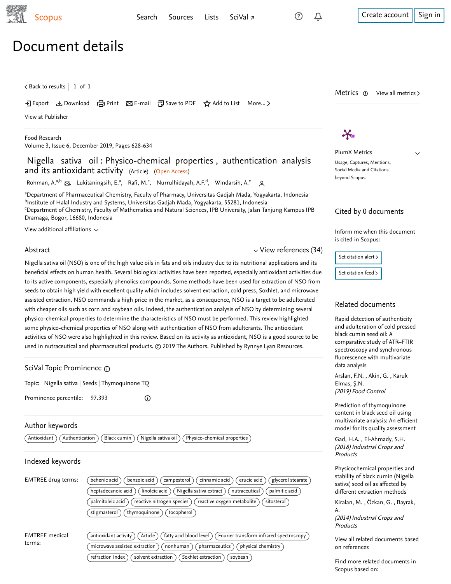$\checkmark$ 

# Document details

 $\zeta$  [Back to results](https://www-scopus-com.ezproxy.um.edu.my/results/results.uri?sort=plf-f&src=s&st1=Nigella+sativa+oil%3a+Physico-chemical+properties%2c+authentication&st2=&sid=bd5e086f3bb58969577ed33c4d2c2923&sot=b&sdt=b&sl=70&s=TITLE%28Nigella+sativa+oil%3a+Physico-chemical+properties%2c+authentication%29&offset=1&origin=recordpage)  $\vert\,$   $\,$  1 of  $\,$  1  $\,$ 

Download 日 Print Be-mail 『別 Save to PDF ☆ Add to List More... >

[View at Publisher](https://www-scopus-com.ezproxy.um.edu.my/redirect/linking.uri?targetURL=https%3a%2f%2fdoi.org%2f10.26656%2ffr.2017.3%286%29.115&locationID=1&categoryID=4&eid=2-s2.0-85067367936&issn=25502166&linkType=ViewAtPublisher&year=2019&origin=recordpage&dig=40346d801fb71ff6a43a4e7eb632dccf&recordRank=)

[Food Research](https://www-scopus-com.ezproxy.um.edu.my/sourceid/21100904224?origin=recordpage) Volume 3, Issue 6, December 2019, Pages 628-634

Nigella sativa oil : Physico-chemical properties , authentication analysis and its antioxidant activity (Article) (Open Access)

[Rohman, A.](https://www-scopus-com.ezproxy.um.edu.my/authid/detail.uri?authorId=32668020600&eid=2-s2.0-85067367936)<sup>a,b</sup> ⊠, [Lukitaningsih, E.](https://www-scopus-com.ezproxy.um.edu.my/authid/detail.uri?authorId=37028560500&eid=2-s2.0-85067367936)ª, [Rafi, M.](https://www-scopus-com.ezproxy.um.edu.my/authid/detail.uri?authorId=57209430657&eid=2-s2.0-85067367936)<sup>c</sup>, [Nurrulhidayah, A.F.](https://www-scopus-com.ezproxy.um.edu.my/authid/detail.uri?authorId=56716257500&eid=2-s2.0-85067367936)<sup>d</sup>, [Windarsih, A.](https://www-scopus-com.ezproxy.um.edu.my/authid/detail.uri?authorId=57006764700&eid=2-s2.0-85067367936)<sup>e</sup> Q

<sup>a</sup>Department of Pharmaceutical Chemistry, Faculty of Pharmacy, Universitas Gadjah Mada, Yogyakarta, Indonesia  $^{\rm b}$ Institute of Halal Industry and Systems, Universitas Gadjah Mada, Yogyakarta, 55281, Indonesia $\,$ 

<sup>c</sup>Department of Chemistry, Faculty of Mathematics and Natural Sciences, IPB University, Jalan Tanjung Kampus IPB Dramaga, Bogor, 16680, Indonesia

View additional affiliations  $\sim$ 

#### Abstract

## $\vee$  [View references \(34\)](#page-1-0)

Nigella sativa oil (NSO) is one of the high value oils in fats and oils industry due to its nutritional applications and its beneficial effects on human health. Several biological activities have been reported, especially antioxidant activities due to its active components, especially phenolics compounds. Some methods have been used for extraction of NSO from seeds to obtain high yield with excellent quality which includes solvent extraction, cold press, Soxhlet, and microwave assisted extraction. NSO commands a high price in the market, as a consequence, NSO is a target to be adulterated with cheaper oils such as corn and soybean oils. Indeed, the authentication analysis of NSO by determining several physico-chemical properties to determine the characteristics of NSO must be performed. This review highlighted some physico-chemical properties of NSO along with authentication of NSO from adulterants. The antioxidant activities of NSO were also highlighted in this review. Based on its activity as antioxidant, NSO is a good source to be used in nutraceutical and pharmaceutical products. © 2019 The Authors. Published by Rynnye Lyan Resources.

# SciVal Topic Prominence

Topic: Nigella sativa | Seeds | Thymoquinone TQ

Prominence percentile: 97.393  $^{\circ}$ 

## Author keywords

 $\overline{A}$ ntioxidant)  $\overline{A}$ uthentication)  $\overline{A}$  Black cumin)  $\overline{A}$  Nigella sativa oil)  $\overline{A}$  Physico-chemical properties

## Indexed keywords





beyond Scopus.



Social Media and Citations

Metrics  $\odot$  View all metrics >

## Cited by 0 documents

Inform me when this document is cited in Scopus:

Set citation alert > [Set citation feed](https://www-scopus-com.ezproxy.um.edu.my/results/rss/handler.uri?citeEid=2-s2.0-85067367936) >

## Related documents

Rapid detection of authenticity [and adulteration of cold pressed](https://www-scopus-com.ezproxy.um.edu.my/record/display.uri?origin=recordpage&zone=relatedDocuments&eid=2-s2.0-85059306412&citeCnt=0&noHighlight=false&sort=plf-f&src=s&st1=Nigella+sativa+oil%3a+Physico-chemical+properties%2c+authentication&st2=&sid=bd5e086f3bb58969577ed33c4d2c2923&sot=b&sdt=b&sl=70&s=TITLE%28Nigella+sativa+oil%3a+Physico-chemical+properties%2c+authentication%29&relpos=0) black cumin seed oil: A comparative study of ATR–FTIR spectroscopy and synchronous fluorescence with multivariate data analysis

[Arslan, F.N.](https://www-scopus-com.ezproxy.um.edu.my/authid/detail.uri?origin=recordpage&authorId=57212919594&zone=relatedDocuments) , Akin, G. , Karuk (2019) Food Control [Elmas, Ş.N.](https://www-scopus-com.ezproxy.um.edu.my/authid/detail.uri?origin=recordpage&authorId=57192438231&zone=relatedDocuments)

Prediction of thymoquinone content in black seed oil using [multivariate analysis: An efficient](https://www-scopus-com.ezproxy.um.edu.my/record/display.uri?origin=recordpage&zone=relatedDocuments&eid=2-s2.0-85051641219&citeCnt=0&noHighlight=false&sort=plf-f&src=s&st1=Nigella+sativa+oil%3a+Physico-chemical+properties%2c+authentication&st2=&sid=bd5e086f3bb58969577ed33c4d2c2923&sot=b&sdt=b&sl=70&s=TITLE%28Nigella+sativa+oil%3a+Physico-chemical+properties%2c+authentication%29&relpos=1) model for its quality assessment

, [Gad, H.A.](https://www-scopus-com.ezproxy.um.edu.my/authid/detail.uri?origin=recordpage&authorId=55242167600&zone=relatedDocuments) [El-Ahmady, S.H.](https://www-scopus-com.ezproxy.um.edu.my/authid/detail.uri?origin=recordpage&authorId=55241107200&zone=relatedDocuments) (2018) Industrial Crops and Products

[Physicochemical properties and](https://www-scopus-com.ezproxy.um.edu.my/record/display.uri?origin=recordpage&zone=relatedDocuments&eid=2-s2.0-84897969847&citeCnt=0&noHighlight=false&sort=plf-f&src=s&st1=Nigella+sativa+oil%3a+Physico-chemical+properties%2c+authentication&st2=&sid=bd5e086f3bb58969577ed33c4d2c2923&sot=b&sdt=b&sl=70&s=TITLE%28Nigella+sativa+oil%3a+Physico-chemical+properties%2c+authentication%29&relpos=2) stability of black cumin (Nigella sativa) seed oil as affected by different extraction methods

[Kiralan, M.](https://www-scopus-com.ezproxy.um.edu.my/authid/detail.uri?origin=recordpage&authorId=24780816800&zone=relatedDocuments) , Ozkan, G. , Bayrak, A.

(2014) Industrial Crops and Products

[View all related documents based](https://www-scopus-com.ezproxy.um.edu.my/search/submit/mlt.uri?eid=2-s2.0-85067367936&src=s&all=true&origin=recordpage&method=ref&zone=relatedDocuments) on references

Find more related documents in Scopus based on: